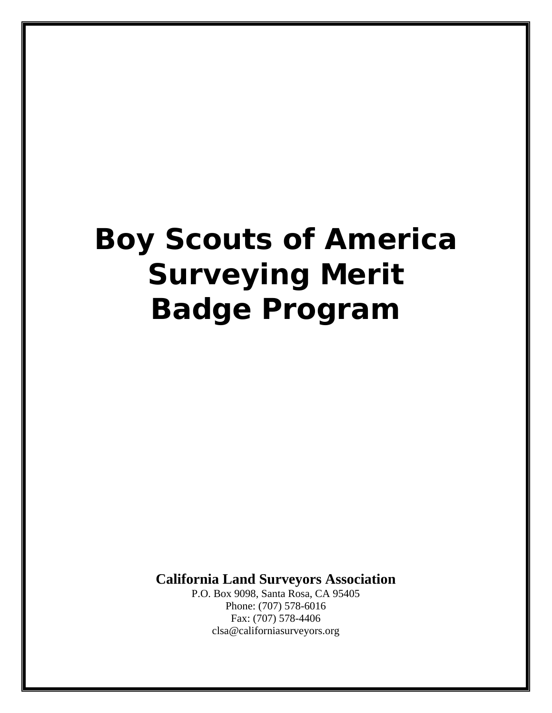# **Boy Scouts of America Surveying Merit Badge Program**

**California Land Surveyors Association** 

P.O. Box 9098, Santa Rosa, CA 95405 Phone: (707) 578-6016 Fax: (707) 578-4406 clsa@californiasurveyors.org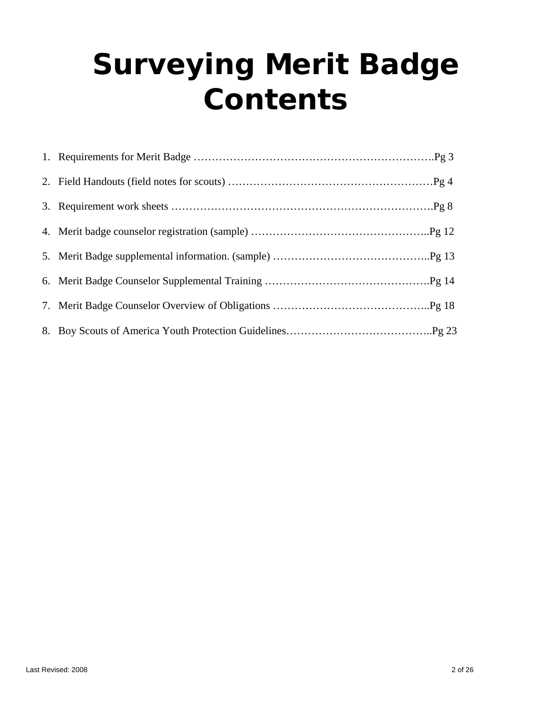# **Surveying Merit Badge Contents**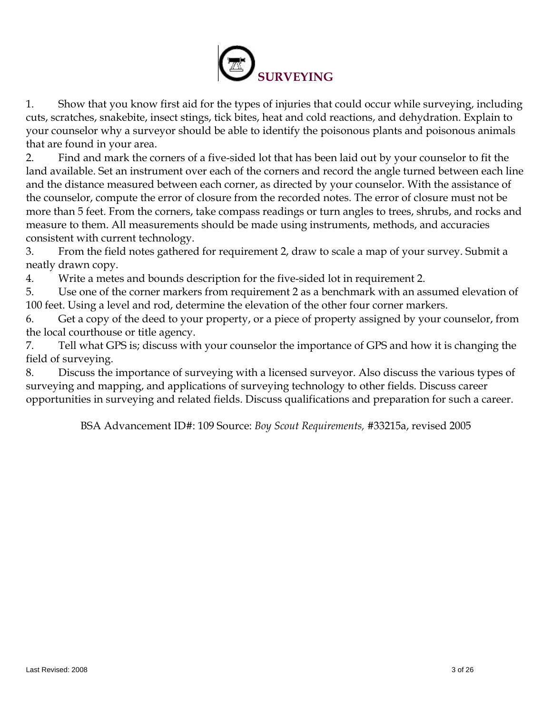

1. Show that you know first aid for the types of injuries that could occur while surveying, including cuts, scratches, snakebite, insect stings, tick bites, heat and cold reactions, and dehydration. Explain to your counselor why a surveyor should be able to identify the poisonous plants and poisonous animals that are found in your area.

2. Find and mark the corners of a five-sided lot that has been laid out by your counselor to fit the land available. Set an instrument over each of the corners and record the angle turned between each line and the distance measured between each corner, as directed by your counselor. With the assistance of the counselor, compute the error of closure from the recorded notes. The error of closure must not be more than 5 feet. From the corners, take compass readings or turn angles to trees, shrubs, and rocks and measure to them. All measurements should be made using instruments, methods, and accuracies consistent with current technology.

3. From the field notes gathered for requirement 2, draw to scale a map of your survey. Submit a neatly drawn copy.

4. Write a metes and bounds description for the five-sided lot in requirement 2.

5. Use one of the corner markers from requirement 2 as a benchmark with an assumed elevation of 100 feet. Using a level and rod, determine the elevation of the other four corner markers.

6. Get a copy of the deed to your property, or a piece of property assigned by your counselor, from the local courthouse or title agency.

7. Tell what GPS is; discuss with your counselor the importance of GPS and how it is changing the field of surveying.

8. Discuss the importance of surveying with a licensed surveyor. Also discuss the various types of surveying and mapping, and applications of surveying technology to other fields. Discuss career opportunities in surveying and related fields. Discuss qualifications and preparation for such a career.

BSA Advancement ID#: 109 Source: *Boy Scout Requirements,* #33215a, revised 2005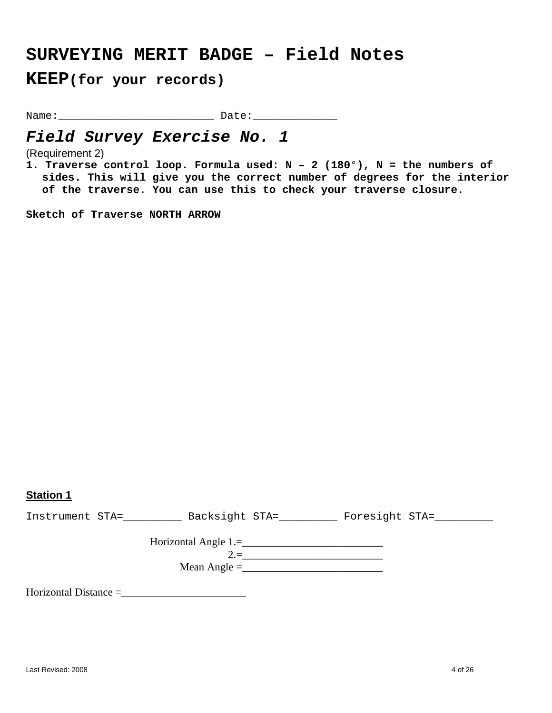## **SURVEYING MERIT BADGE – Field Notes**

## **KEEP(for your records)**

Name:\_\_\_\_\_\_\_\_\_\_\_\_\_\_\_\_\_\_\_\_\_\_\_\_ Date:\_\_\_\_\_\_\_\_\_\_\_\_\_

## *Field Survey Exercise No. 1*

(Requirement 2)

**1. Traverse control loop. Formula used: N – 2 (180**°**), N = the numbers of sides. This will give you the correct number of degrees for the interior of the traverse. You can use this to check your traverse closure.** 

**Sketch of Traverse NORTH ARROW** 

#### **Station 1**

| Instrument STA=         |                                 | Backsight STA= | Foresight STA= |
|-------------------------|---------------------------------|----------------|----------------|
|                         | Horizontal Angle $1 =$<br>$2.=$ |                |                |
|                         |                                 |                |                |
| Horizontal Distance $=$ |                                 |                |                |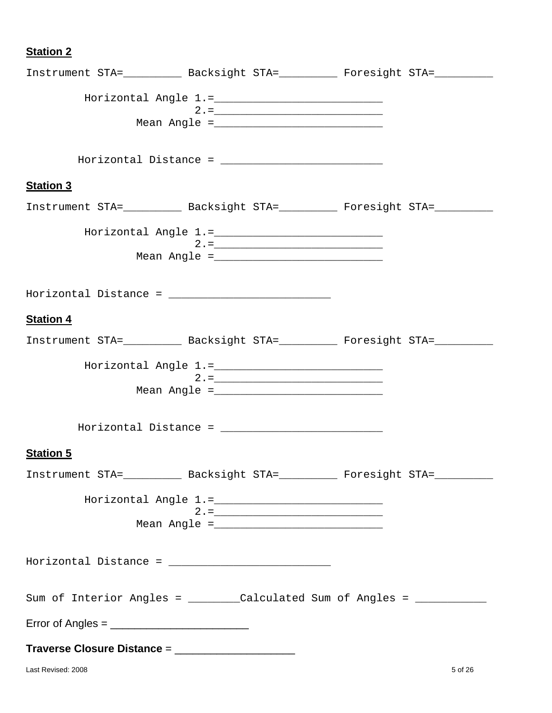## **Station 2**

|                  | Instrument STA=____________ Backsight STA=____________ Foresight STA=___________ |         |  |
|------------------|----------------------------------------------------------------------------------|---------|--|
|                  |                                                                                  |         |  |
|                  |                                                                                  | $2.7 -$ |  |
|                  |                                                                                  |         |  |
|                  | $Horizontal$ Distance = $\frac{1}{1}$                                            |         |  |
| Station 3        |                                                                                  |         |  |
|                  | Instrument STA=___________ Backsight STA=__________ Foresight STA=______________ |         |  |
|                  |                                                                                  |         |  |
|                  |                                                                                  |         |  |
|                  |                                                                                  |         |  |
|                  |                                                                                  |         |  |
| <b>Station 4</b> |                                                                                  |         |  |
|                  | Instrument STA=_________ Backsight STA=_________ Foresight STA=_________         |         |  |
|                  |                                                                                  |         |  |
|                  |                                                                                  | $2.7 -$ |  |
|                  |                                                                                  |         |  |
|                  | Horizontal Distance = $\_$                                                       |         |  |
| <b>Station 5</b> |                                                                                  |         |  |
|                  | Instrument STA=___________ Backsight STA=__________ Foresight STA=____________   |         |  |
|                  |                                                                                  |         |  |
|                  |                                                                                  | $2.7 -$ |  |
|                  |                                                                                  |         |  |
|                  |                                                                                  |         |  |
|                  | Sum of Interior Angles = ________Calculated Sum of Angles = ___________          |         |  |
|                  | $Error of Angles = \_$                                                           |         |  |
|                  | Traverse Closure Distance = ________________________                             |         |  |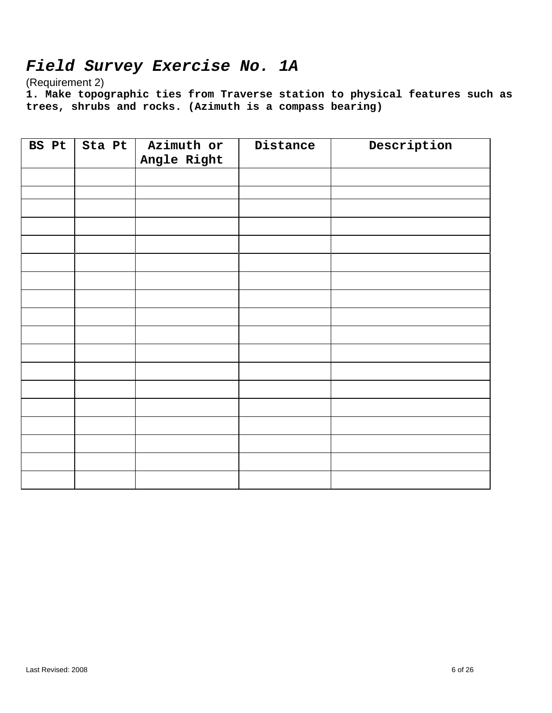## *Field Survey Exercise No. 1A*

(Requirement 2)

**1. Make topographic ties from Traverse station to physical features such as trees, shrubs and rocks. (Azimuth is a compass bearing)** 

| BS Pt | Sta Pt | Azimuth or<br>Angle Right | Distance | Description |
|-------|--------|---------------------------|----------|-------------|
|       |        |                           |          |             |
|       |        |                           |          |             |
|       |        |                           |          |             |
|       |        |                           |          |             |
|       |        |                           |          |             |
|       |        |                           |          |             |
|       |        |                           |          |             |
|       |        |                           |          |             |
|       |        |                           |          |             |
|       |        |                           |          |             |
|       |        |                           |          |             |
|       |        |                           |          |             |
|       |        |                           |          |             |
|       |        |                           |          |             |
|       |        |                           |          |             |
|       |        |                           |          |             |
|       |        |                           |          |             |
|       |        |                           |          |             |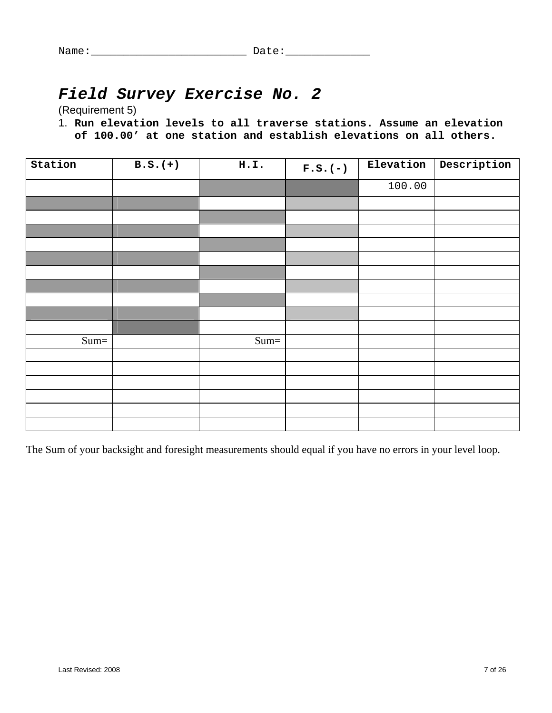## *Field Survey Exercise No. 2*

(Requirement 5)

1. **Run elevation levels to all traverse stations. Assume an elevation of 100.00' at one station and establish elevations on all others.** 

| Station | $B.S. (+)$ | H.I.    | $F.S. (-)$ | Elevation | Description |
|---------|------------|---------|------------|-----------|-------------|
|         |            |         |            | 100.00    |             |
|         |            |         |            |           |             |
|         |            |         |            |           |             |
|         |            |         |            |           |             |
|         |            |         |            |           |             |
|         |            |         |            |           |             |
|         |            |         |            |           |             |
|         |            |         |            |           |             |
|         |            |         |            |           |             |
|         |            |         |            |           |             |
|         |            |         |            |           |             |
| $Sum =$ |            | $Sum =$ |            |           |             |
|         |            |         |            |           |             |
|         |            |         |            |           |             |
|         |            |         |            |           |             |
|         |            |         |            |           |             |
|         |            |         |            |           |             |
|         |            |         |            |           |             |

The Sum of your backsight and foresight measurements should equal if you have no errors in your level loop.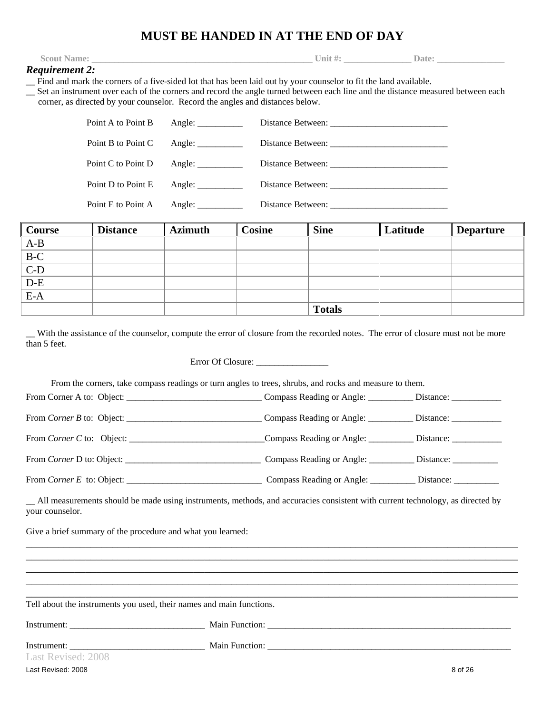## **MUST BE HANDED IN AT THE END OF DAY**

**Scout Name: \_\_\_\_\_\_\_\_\_\_\_\_\_\_\_\_\_\_\_\_\_\_\_\_\_\_\_\_\_\_\_\_\_\_\_\_\_\_\_\_\_\_\_\_\_\_\_\_\_ Unit #: \_\_\_\_\_\_\_\_\_\_\_\_\_\_\_ Date: \_\_\_\_\_\_\_\_\_\_\_\_\_\_\_** 

#### *Requirement 2:*

- \_\_ Find and mark the corners of a five-sided lot that has been laid out by your counselor to fit the land available.
- \_\_ Set an instrument over each of the corners and record the angle turned between each line and the distance measured between each corner, as directed by your counselor. Record the angles and distances below.

| Point A to Point B | Angle: $\qquad \qquad$                                    |  |
|--------------------|-----------------------------------------------------------|--|
|                    | Point B to Point C Angle:                                 |  |
| Point C to Point D | Angle:                                                    |  |
| Point D to Point E | Angle: $\frac{1}{2}$                                      |  |
| Point E to Point A | Angle: $\frac{1}{\sqrt{1-\frac{1}{2}} \cdot \frac{1}{2}}$ |  |

| <b>Course</b> | <b>Distance</b> | <b>Azimuth</b> | Cosine | <b>Sine</b>   | Latitude | <b>Departure</b> |
|---------------|-----------------|----------------|--------|---------------|----------|------------------|
| $A-B$         |                 |                |        |               |          |                  |
| B-C           |                 |                |        |               |          |                  |
| $C-D$         |                 |                |        |               |          |                  |
| $D-E$         |                 |                |        |               |          |                  |
| $E-A$         |                 |                |        |               |          |                  |
|               |                 |                |        | <b>Totals</b> |          |                  |

\_\_ With the assistance of the counselor, compute the error of closure from the recorded notes. The error of closure must not be more than 5 feet.

Error Of Closure: \_\_\_\_\_\_\_\_\_\_\_\_\_\_\_\_

From the corners, take compass readings or turn angles to trees, shrubs, and rocks and measure to them.

|                           | Compass Reading or Angle:           | Distance: |
|---------------------------|-------------------------------------|-----------|
|                           | Compass Reading or Angle: Distance: |           |
|                           | Compass Reading or Angle:           | Distance: |
| From Corner D to: Object: | Compass Reading or Angle:           | Distance: |
| From Corner E to: Object: | Compass Reading or Angle:           | Distance: |

All measurements should be made using instruments, methods, and accuracies consistent with current technology, as directed by your counselor.

\_\_\_\_\_\_\_\_\_\_\_\_\_\_\_\_\_\_\_\_\_\_\_\_\_\_\_\_\_\_\_\_\_\_\_\_\_\_\_\_\_\_\_\_\_\_\_\_\_\_\_\_\_\_\_\_\_\_\_\_\_\_\_\_\_\_\_\_\_\_\_\_\_\_\_\_\_\_\_\_\_\_\_\_\_\_\_\_\_\_\_ \_\_\_\_\_\_\_\_\_\_\_\_\_\_\_\_\_\_\_\_\_\_\_\_\_\_\_\_\_\_\_\_\_\_\_\_\_\_\_\_\_\_\_\_\_\_\_\_\_\_\_\_\_\_\_\_\_\_\_\_\_\_\_\_\_\_\_\_\_\_\_\_\_\_\_\_\_\_\_\_\_\_\_\_\_\_\_\_\_\_\_ \_\_\_\_\_\_\_\_\_\_\_\_\_\_\_\_\_\_\_\_\_\_\_\_\_\_\_\_\_\_\_\_\_\_\_\_\_\_\_\_\_\_\_\_\_\_\_\_\_\_\_\_\_\_\_\_\_\_\_\_\_\_\_\_\_\_\_\_\_\_\_\_\_\_\_\_\_\_\_\_\_\_\_\_\_\_\_\_\_\_\_ \_\_\_\_\_\_\_\_\_\_\_\_\_\_\_\_\_\_\_\_\_\_\_\_\_\_\_\_\_\_\_\_\_\_\_\_\_\_\_\_\_\_\_\_\_\_\_\_\_\_\_\_\_\_\_\_\_\_\_\_\_\_\_\_\_\_\_\_\_\_\_\_\_\_\_\_\_\_\_\_\_\_\_\_\_\_\_\_\_\_\_

Give a brief summary of the procedure and what you learned:

\_\_\_\_\_\_\_\_\_\_\_\_\_\_\_\_\_\_\_\_\_\_\_\_\_\_\_\_\_\_\_\_\_\_\_\_\_\_\_\_\_\_\_\_\_\_\_\_\_\_\_\_\_\_\_\_\_\_\_\_\_\_\_\_\_\_\_\_\_\_\_\_\_\_\_\_\_\_\_\_\_\_\_\_\_\_\_\_\_\_\_ Tell about the instruments you used, their names and main functions.

| Instrument:               | <b>Main Function:</b> |  |
|---------------------------|-----------------------|--|
| Instrument:               | Main Function:        |  |
| <b>Last Revised: 2008</b> |                       |  |

Last Revised: 2008 8 of 26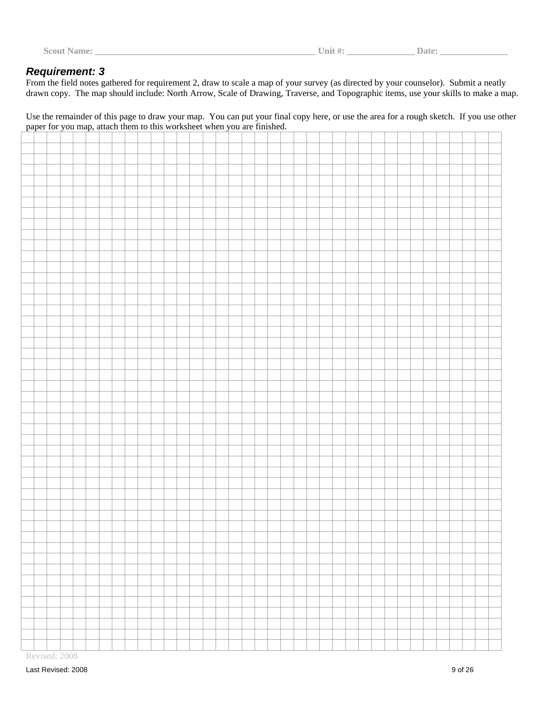| ш<br>- 1 | - - | 10 T.C |
|----------|-----|--------|
|          |     |        |

#### *Requirement: 3*

From the field notes gathered for requirement 2, draw to scale a map of your survey (as directed by your counselor). Submit a neatly drawn copy. The map should include: North Arrow, Scale of Drawing, Traverse, and Topographic items, use your skills to make a map.

Use the remainder of this page to draw your map. You can put your final copy here, or use the area for a rough sketch. If you use other paper for you map, attach them to this worksheet when you are finished.

| paper for you map, attach them to this worksheet when you are finished. |  |  |  |  |  |  |  |  |  |  |  |  |  |  |  |  |  |  |
|-------------------------------------------------------------------------|--|--|--|--|--|--|--|--|--|--|--|--|--|--|--|--|--|--|
|                                                                         |  |  |  |  |  |  |  |  |  |  |  |  |  |  |  |  |  |  |
|                                                                         |  |  |  |  |  |  |  |  |  |  |  |  |  |  |  |  |  |  |
|                                                                         |  |  |  |  |  |  |  |  |  |  |  |  |  |  |  |  |  |  |
|                                                                         |  |  |  |  |  |  |  |  |  |  |  |  |  |  |  |  |  |  |
|                                                                         |  |  |  |  |  |  |  |  |  |  |  |  |  |  |  |  |  |  |
|                                                                         |  |  |  |  |  |  |  |  |  |  |  |  |  |  |  |  |  |  |
|                                                                         |  |  |  |  |  |  |  |  |  |  |  |  |  |  |  |  |  |  |
|                                                                         |  |  |  |  |  |  |  |  |  |  |  |  |  |  |  |  |  |  |
|                                                                         |  |  |  |  |  |  |  |  |  |  |  |  |  |  |  |  |  |  |
|                                                                         |  |  |  |  |  |  |  |  |  |  |  |  |  |  |  |  |  |  |
|                                                                         |  |  |  |  |  |  |  |  |  |  |  |  |  |  |  |  |  |  |
|                                                                         |  |  |  |  |  |  |  |  |  |  |  |  |  |  |  |  |  |  |
|                                                                         |  |  |  |  |  |  |  |  |  |  |  |  |  |  |  |  |  |  |
|                                                                         |  |  |  |  |  |  |  |  |  |  |  |  |  |  |  |  |  |  |
|                                                                         |  |  |  |  |  |  |  |  |  |  |  |  |  |  |  |  |  |  |
|                                                                         |  |  |  |  |  |  |  |  |  |  |  |  |  |  |  |  |  |  |
|                                                                         |  |  |  |  |  |  |  |  |  |  |  |  |  |  |  |  |  |  |
|                                                                         |  |  |  |  |  |  |  |  |  |  |  |  |  |  |  |  |  |  |
|                                                                         |  |  |  |  |  |  |  |  |  |  |  |  |  |  |  |  |  |  |
|                                                                         |  |  |  |  |  |  |  |  |  |  |  |  |  |  |  |  |  |  |
|                                                                         |  |  |  |  |  |  |  |  |  |  |  |  |  |  |  |  |  |  |
|                                                                         |  |  |  |  |  |  |  |  |  |  |  |  |  |  |  |  |  |  |
|                                                                         |  |  |  |  |  |  |  |  |  |  |  |  |  |  |  |  |  |  |
|                                                                         |  |  |  |  |  |  |  |  |  |  |  |  |  |  |  |  |  |  |
|                                                                         |  |  |  |  |  |  |  |  |  |  |  |  |  |  |  |  |  |  |
|                                                                         |  |  |  |  |  |  |  |  |  |  |  |  |  |  |  |  |  |  |
|                                                                         |  |  |  |  |  |  |  |  |  |  |  |  |  |  |  |  |  |  |
|                                                                         |  |  |  |  |  |  |  |  |  |  |  |  |  |  |  |  |  |  |
|                                                                         |  |  |  |  |  |  |  |  |  |  |  |  |  |  |  |  |  |  |
|                                                                         |  |  |  |  |  |  |  |  |  |  |  |  |  |  |  |  |  |  |
|                                                                         |  |  |  |  |  |  |  |  |  |  |  |  |  |  |  |  |  |  |
|                                                                         |  |  |  |  |  |  |  |  |  |  |  |  |  |  |  |  |  |  |
|                                                                         |  |  |  |  |  |  |  |  |  |  |  |  |  |  |  |  |  |  |
|                                                                         |  |  |  |  |  |  |  |  |  |  |  |  |  |  |  |  |  |  |
|                                                                         |  |  |  |  |  |  |  |  |  |  |  |  |  |  |  |  |  |  |
|                                                                         |  |  |  |  |  |  |  |  |  |  |  |  |  |  |  |  |  |  |
|                                                                         |  |  |  |  |  |  |  |  |  |  |  |  |  |  |  |  |  |  |
|                                                                         |  |  |  |  |  |  |  |  |  |  |  |  |  |  |  |  |  |  |
|                                                                         |  |  |  |  |  |  |  |  |  |  |  |  |  |  |  |  |  |  |
|                                                                         |  |  |  |  |  |  |  |  |  |  |  |  |  |  |  |  |  |  |
|                                                                         |  |  |  |  |  |  |  |  |  |  |  |  |  |  |  |  |  |  |
|                                                                         |  |  |  |  |  |  |  |  |  |  |  |  |  |  |  |  |  |  |
|                                                                         |  |  |  |  |  |  |  |  |  |  |  |  |  |  |  |  |  |  |
|                                                                         |  |  |  |  |  |  |  |  |  |  |  |  |  |  |  |  |  |  |
|                                                                         |  |  |  |  |  |  |  |  |  |  |  |  |  |  |  |  |  |  |
|                                                                         |  |  |  |  |  |  |  |  |  |  |  |  |  |  |  |  |  |  |
|                                                                         |  |  |  |  |  |  |  |  |  |  |  |  |  |  |  |  |  |  |
|                                                                         |  |  |  |  |  |  |  |  |  |  |  |  |  |  |  |  |  |  |
|                                                                         |  |  |  |  |  |  |  |  |  |  |  |  |  |  |  |  |  |  |
|                                                                         |  |  |  |  |  |  |  |  |  |  |  |  |  |  |  |  |  |  |
|                                                                         |  |  |  |  |  |  |  |  |  |  |  |  |  |  |  |  |  |  |
|                                                                         |  |  |  |  |  |  |  |  |  |  |  |  |  |  |  |  |  |  |
|                                                                         |  |  |  |  |  |  |  |  |  |  |  |  |  |  |  |  |  |  |
|                                                                         |  |  |  |  |  |  |  |  |  |  |  |  |  |  |  |  |  |  |
|                                                                         |  |  |  |  |  |  |  |  |  |  |  |  |  |  |  |  |  |  |
|                                                                         |  |  |  |  |  |  |  |  |  |  |  |  |  |  |  |  |  |  |
|                                                                         |  |  |  |  |  |  |  |  |  |  |  |  |  |  |  |  |  |  |
|                                                                         |  |  |  |  |  |  |  |  |  |  |  |  |  |  |  |  |  |  |
|                                                                         |  |  |  |  |  |  |  |  |  |  |  |  |  |  |  |  |  |  |
|                                                                         |  |  |  |  |  |  |  |  |  |  |  |  |  |  |  |  |  |  |
|                                                                         |  |  |  |  |  |  |  |  |  |  |  |  |  |  |  |  |  |  |
|                                                                         |  |  |  |  |  |  |  |  |  |  |  |  |  |  |  |  |  |  |
|                                                                         |  |  |  |  |  |  |  |  |  |  |  |  |  |  |  |  |  |  |
|                                                                         |  |  |  |  |  |  |  |  |  |  |  |  |  |  |  |  |  |  |
|                                                                         |  |  |  |  |  |  |  |  |  |  |  |  |  |  |  |  |  |  |
|                                                                         |  |  |  |  |  |  |  |  |  |  |  |  |  |  |  |  |  |  |
|                                                                         |  |  |  |  |  |  |  |  |  |  |  |  |  |  |  |  |  |  |
|                                                                         |  |  |  |  |  |  |  |  |  |  |  |  |  |  |  |  |  |  |
|                                                                         |  |  |  |  |  |  |  |  |  |  |  |  |  |  |  |  |  |  |
|                                                                         |  |  |  |  |  |  |  |  |  |  |  |  |  |  |  |  |  |  |
|                                                                         |  |  |  |  |  |  |  |  |  |  |  |  |  |  |  |  |  |  |
|                                                                         |  |  |  |  |  |  |  |  |  |  |  |  |  |  |  |  |  |  |
|                                                                         |  |  |  |  |  |  |  |  |  |  |  |  |  |  |  |  |  |  |
|                                                                         |  |  |  |  |  |  |  |  |  |  |  |  |  |  |  |  |  |  |
|                                                                         |  |  |  |  |  |  |  |  |  |  |  |  |  |  |  |  |  |  |
|                                                                         |  |  |  |  |  |  |  |  |  |  |  |  |  |  |  |  |  |  |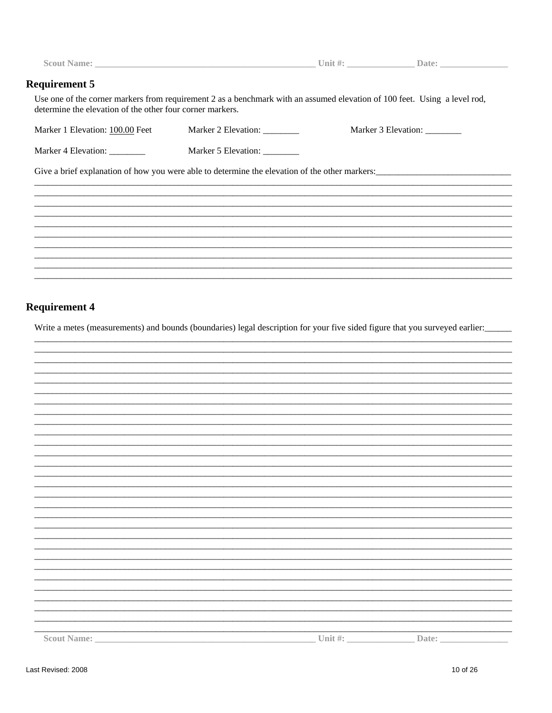|                                                                                                                                                                                        |                              | Unit #: Date:                |
|----------------------------------------------------------------------------------------------------------------------------------------------------------------------------------------|------------------------------|------------------------------|
| <b>Requirement 5</b>                                                                                                                                                                   |                              |                              |
| Use one of the corner markers from requirement 2 as a benchmark with an assumed elevation of 100 feet. Using a level rod,<br>determine the elevation of the other four corner markers. |                              |                              |
| Marker 1 Elevation: 100.00 Feet                                                                                                                                                        | Marker 2 Elevation: ________ | Marker 3 Elevation: ________ |
| Marker 4 Elevation: ________                                                                                                                                                           | Marker 5 Elevation:          |                              |
| Give a brief explanation of how you were able to determine the elevation of the other markers:<br>explanation of how you were able to determine the elevation of the other markers:    |                              |                              |
|                                                                                                                                                                                        |                              |                              |
|                                                                                                                                                                                        |                              |                              |
|                                                                                                                                                                                        |                              |                              |
|                                                                                                                                                                                        |                              |                              |
|                                                                                                                                                                                        |                              |                              |
|                                                                                                                                                                                        |                              |                              |
|                                                                                                                                                                                        |                              |                              |
| <b>Requirement 4</b>                                                                                                                                                                   |                              |                              |
| Write a metes (measurements) and bounds (boundaries) legal description for your five sided figure that you surveyed earlier:                                                           |                              |                              |
|                                                                                                                                                                                        |                              |                              |
|                                                                                                                                                                                        |                              |                              |
|                                                                                                                                                                                        |                              |                              |
|                                                                                                                                                                                        |                              |                              |
|                                                                                                                                                                                        |                              |                              |
|                                                                                                                                                                                        |                              |                              |
|                                                                                                                                                                                        |                              |                              |
|                                                                                                                                                                                        |                              |                              |
|                                                                                                                                                                                        |                              |                              |
|                                                                                                                                                                                        |                              |                              |
|                                                                                                                                                                                        |                              |                              |
|                                                                                                                                                                                        |                              |                              |
|                                                                                                                                                                                        |                              |                              |
|                                                                                                                                                                                        |                              |                              |
|                                                                                                                                                                                        |                              |                              |
|                                                                                                                                                                                        |                              |                              |
|                                                                                                                                                                                        |                              |                              |

Scout Name: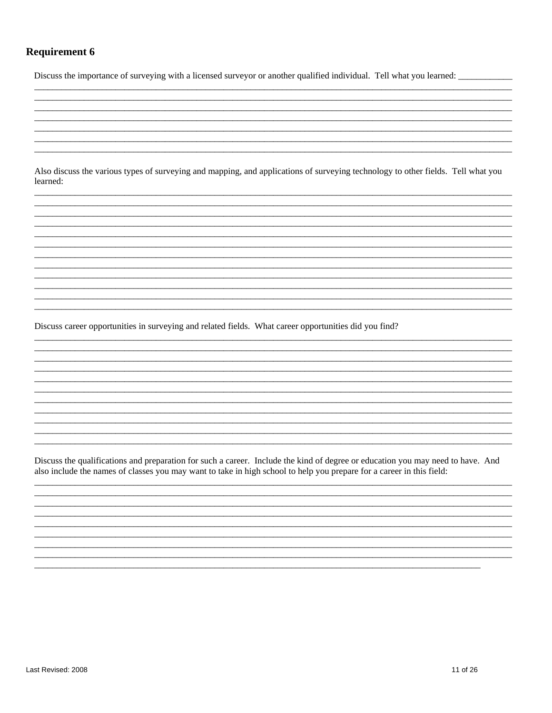#### **Requirement 6**

Discuss the importance of surveying with a licensed surveyor or another qualified individual. Tell what you learned:

Also discuss the various types of surveying and mapping, and applications of surveying technology to other fields. Tell what you learned:

Discuss career opportunities in surveying and related fields. What career opportunities did you find?

Discuss the qualifications and preparation for such a career. Include the kind of degree or education you may need to have. And also include the names of classes you may want to take in high school to help you prepare for a career in this field: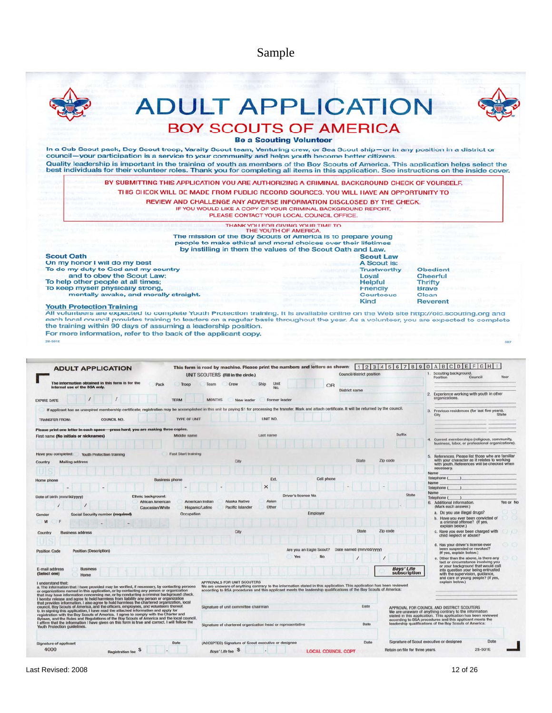Sample

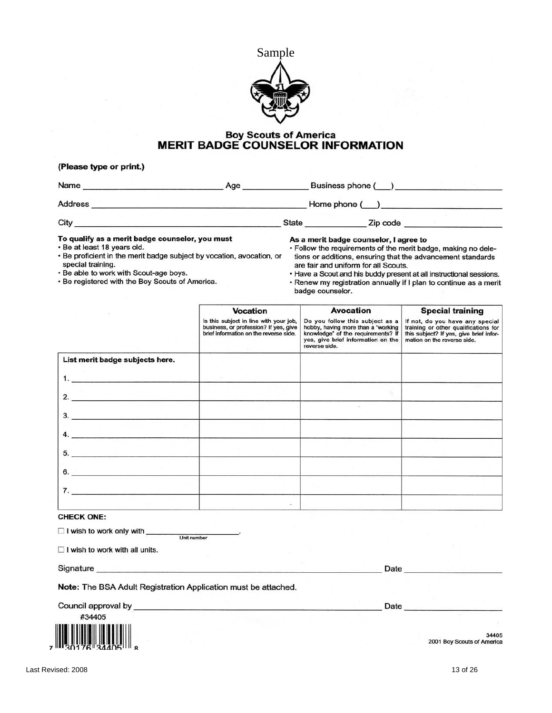

## Boy Scouts of America<br>MERIT BADGE COUNSELOR INFORMATION

#### (Please type or print.)

| Name                                                                          | Age          | Business phone (                                                                                       |
|-------------------------------------------------------------------------------|--------------|--------------------------------------------------------------------------------------------------------|
| Address                                                                       |              | Home phone (                                                                                           |
| City                                                                          | <b>State</b> | Zip code                                                                                               |
| To qualify as a merit badge counselor, you must<br>. Re at least 18 years old |              | As a merit badge counselor, I agree to<br>. Follow the requirements of the morit hadge, making as dela |

• Be proficient in the merit badge subject by vocation, avocation, or special training.

. Be able to work with Scout-age boys.

• Be registered with the Boy Scouts of America.

- -ollow the requirements of the merit badge, making no deletions or additions, ensuring that the advancement standards are fair and uniform for all Scouts.
- Have a Scout and his buddy present at all instructional sessions.
- Renew my registration annually if I plan to continue as a merit badge counselor.

|                                 | <b>Vocation</b>                                                                                                           | <b>Avocation</b>                                                                                                                                                   | <b>Special training</b>                                                                                                                           |
|---------------------------------|---------------------------------------------------------------------------------------------------------------------------|--------------------------------------------------------------------------------------------------------------------------------------------------------------------|---------------------------------------------------------------------------------------------------------------------------------------------------|
|                                 | Is this subject in line with your job,<br>business, or profession? If yes, give<br>brief information on the reverse side. | Do you follow this subject as a<br>hobby, having more than a "working<br>knowledge" of the requirements? If<br>yes, give brief information on the<br>reverse side. | If not, do you have any special<br>training or other qualifications for<br>this subject? If yes, give brief infor-<br>mation on the reverse side. |
| List merit badge subjects here. |                                                                                                                           |                                                                                                                                                                    |                                                                                                                                                   |
|                                 |                                                                                                                           |                                                                                                                                                                    |                                                                                                                                                   |
| 2. $\qquad \qquad$              |                                                                                                                           |                                                                                                                                                                    |                                                                                                                                                   |
| 3.                              |                                                                                                                           |                                                                                                                                                                    |                                                                                                                                                   |
|                                 |                                                                                                                           |                                                                                                                                                                    |                                                                                                                                                   |
| 5.                              |                                                                                                                           |                                                                                                                                                                    |                                                                                                                                                   |
| 6.                              |                                                                                                                           |                                                                                                                                                                    |                                                                                                                                                   |
| $7.$ $\blacksquare$             |                                                                                                                           |                                                                                                                                                                    |                                                                                                                                                   |
|                                 |                                                                                                                           |                                                                                                                                                                    |                                                                                                                                                   |

#### **CHECK ONE:**

| $\Box$ I wish to work only with |  |
|---------------------------------|--|
|---------------------------------|--|

 $\Box$  I wish to work with all units.

Signature

Date

Date

Note: The BSA Adult Registration Application must be attached.

Unit number

Council approval by \_

#34405

Last Revised: 2008 13 of 26

2001 Boy Scouts of America

34405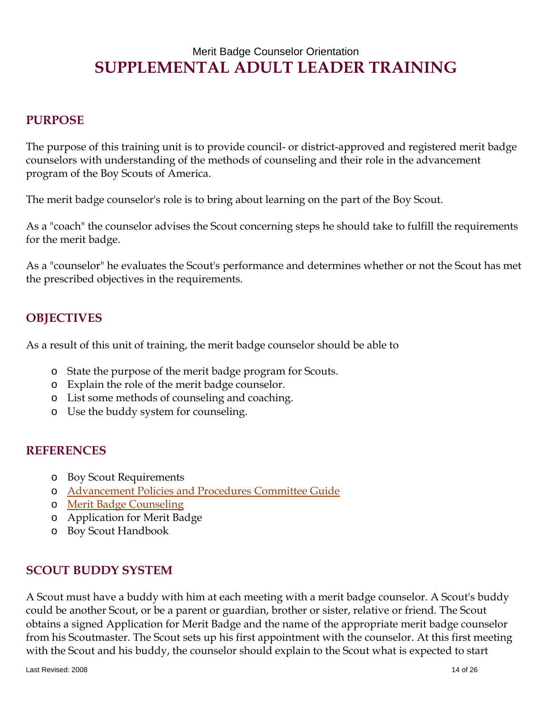## Merit Badge Counselor Orientation **SUPPLEMENTAL ADULT LEADER TRAINING**

## **PURPOSE**

The purpose of this training unit is to provide council- or district-approved and registered merit badge counselors with understanding of the methods of counseling and their role in the advancement program of the Boy Scouts of America.

The merit badge counselor's role is to bring about learning on the part of the Boy Scout.

As a "coach" the counselor advises the Scout concerning steps he should take to fulfill the requirements for the merit badge.

As a "counselor" he evaluates the Scout's performance and determines whether or not the Scout has met the prescribed objectives in the requirements.

## **OBJECTIVES**

As a result of this unit of training, the merit badge counselor should be able to

- o State the purpose of the merit badge program for Scouts.
- o Explain the role of the merit badge counselor.
- o List some methods of counseling and coaching.
- o Use the buddy system for counseling.

## **REFERENCES**

- o Boy Scout Requirements
- o Advancement Policies and Procedures Committee Guide
- o Merit Badge Counseling
- o Application for Merit Badge
- o Boy Scout Handbook

## **SCOUT BUDDY SYSTEM**

A Scout must have a buddy with him at each meeting with a merit badge counselor. A Scout's buddy could be another Scout, or be a parent or guardian, brother or sister, relative or friend. The Scout obtains a signed Application for Merit Badge and the name of the appropriate merit badge counselor from his Scoutmaster. The Scout sets up his first appointment with the counselor. At this first meeting with the Scout and his buddy, the counselor should explain to the Scout what is expected to start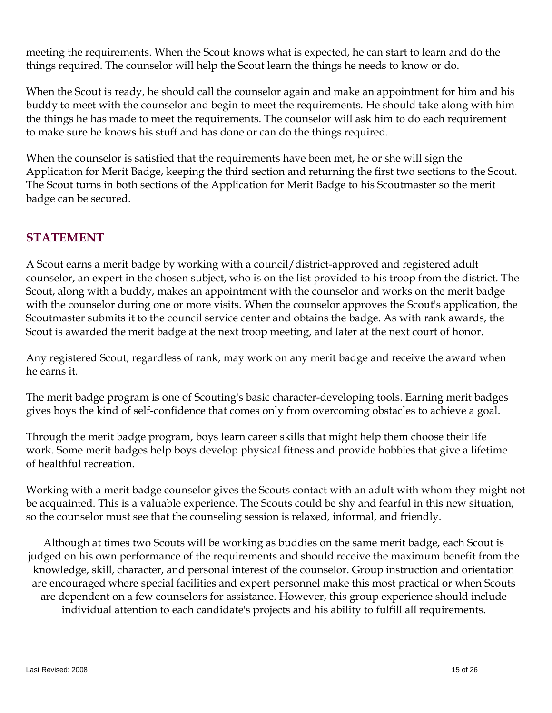meeting the requirements. When the Scout knows what is expected, he can start to learn and do the things required. The counselor will help the Scout learn the things he needs to know or do.

When the Scout is ready, he should call the counselor again and make an appointment for him and his buddy to meet with the counselor and begin to meet the requirements. He should take along with him the things he has made to meet the requirements. The counselor will ask him to do each requirement to make sure he knows his stuff and has done or can do the things required.

When the counselor is satisfied that the requirements have been met, he or she will sign the Application for Merit Badge, keeping the third section and returning the first two sections to the Scout. The Scout turns in both sections of the Application for Merit Badge to his Scoutmaster so the merit badge can be secured.

## **STATEMENT**

A Scout earns a merit badge by working with a council/district-approved and registered adult counselor, an expert in the chosen subject, who is on the list provided to his troop from the district. The Scout, along with a buddy, makes an appointment with the counselor and works on the merit badge with the counselor during one or more visits. When the counselor approves the Scout's application, the Scoutmaster submits it to the council service center and obtains the badge. As with rank awards, the Scout is awarded the merit badge at the next troop meeting, and later at the next court of honor.

Any registered Scout, regardless of rank, may work on any merit badge and receive the award when he earns it.

The merit badge program is one of Scouting's basic character-developing tools. Earning merit badges gives boys the kind of self-confidence that comes only from overcoming obstacles to achieve a goal.

Through the merit badge program, boys learn career skills that might help them choose their life work. Some merit badges help boys develop physical fitness and provide hobbies that give a lifetime of healthful recreation.

Working with a merit badge counselor gives the Scouts contact with an adult with whom they might not be acquainted. This is a valuable experience. The Scouts could be shy and fearful in this new situation, so the counselor must see that the counseling session is relaxed, informal, and friendly.

Although at times two Scouts will be working as buddies on the same merit badge, each Scout is judged on his own performance of the requirements and should receive the maximum benefit from the knowledge, skill, character, and personal interest of the counselor. Group instruction and orientation are encouraged where special facilities and expert personnel make this most practical or when Scouts are dependent on a few counselors for assistance. However, this group experience should include individual attention to each candidate's projects and his ability to fulfill all requirements.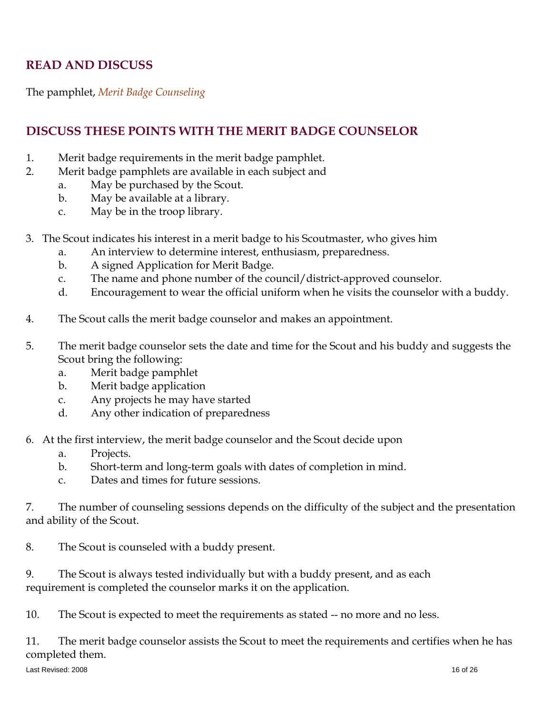## **READ AND DISCUSS**

The pamphlet, *Merit Badge Counseling* 

## **DISCUSS THESE POINTS WITH THE MERIT BADGE COUNSELOR**

- 1. Merit badge requirements in the merit badge pamphlet.
- 2. Merit badge pamphlets are available in each subject and
	- a. May be purchased by the Scout.
	- b. May be available at a library.
	- c. May be in the troop library.
- 3. The Scout indicates his interest in a merit badge to his Scoutmaster, who gives him
	- a. An interview to determine interest, enthusiasm, preparedness.
	- b. A signed Application for Merit Badge.
	- c. The name and phone number of the council/district-approved counselor.
	- d. Encouragement to wear the official uniform when he visits the counselor with a buddy.
- 4. The Scout calls the merit badge counselor and makes an appointment.
- 5. The merit badge counselor sets the date and time for the Scout and his buddy and suggests the Scout bring the following:
	- a. Merit badge pamphlet
	- b. Merit badge application
	- c. Any projects he may have started
	- d. Any other indication of preparedness
- 6. At the first interview, the merit badge counselor and the Scout decide upon
	- a. Projects.
	- b. Short-term and long-term goals with dates of completion in mind.
	- c. Dates and times for future sessions.

7. The number of counseling sessions depends on the difficulty of the subject and the presentation and ability of the Scout.

8. The Scout is counseled with a buddy present.

9. The Scout is always tested individually but with a buddy present, and as each requirement is completed the counselor marks it on the application.

10. The Scout is expected to meet the requirements as stated -- no more and no less.

11. The merit badge counselor assists the Scout to meet the requirements and certifies when he has completed them.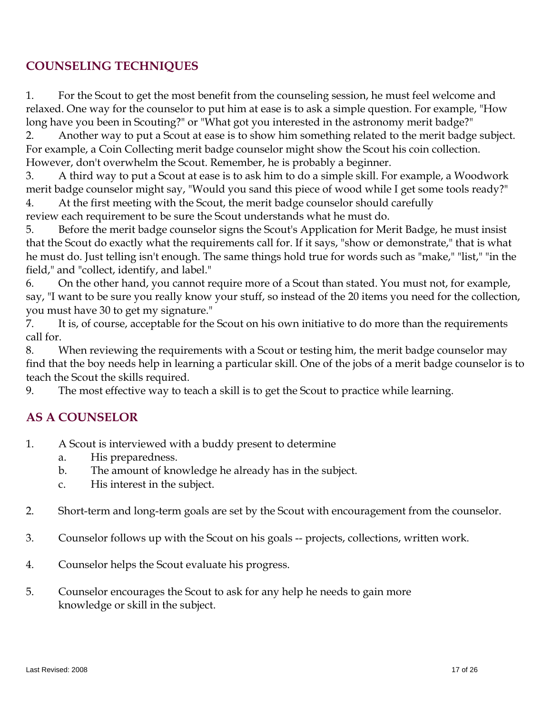## **COUNSELING TECHNIQUES**

1. For the Scout to get the most benefit from the counseling session, he must feel welcome and relaxed. One way for the counselor to put him at ease is to ask a simple question. For example, "How long have you been in Scouting?" or "What got you interested in the astronomy merit badge?"

2. Another way to put a Scout at ease is to show him something related to the merit badge subject. For example, a Coin Collecting merit badge counselor might show the Scout his coin collection. However, don't overwhelm the Scout. Remember, he is probably a beginner.

3. A third way to put a Scout at ease is to ask him to do a simple skill. For example, a Woodwork merit badge counselor might say, "Would you sand this piece of wood while I get some tools ready?"

4. At the first meeting with the Scout, the merit badge counselor should carefully review each requirement to be sure the Scout understands what he must do.

5. Before the merit badge counselor signs the Scout's Application for Merit Badge, he must insist that the Scout do exactly what the requirements call for. If it says, "show or demonstrate," that is what he must do. Just telling isn't enough. The same things hold true for words such as "make," "list," "in the field," and "collect, identify, and label."

6. On the other hand, you cannot require more of a Scout than stated. You must not, for example, say, "I want to be sure you really know your stuff, so instead of the 20 items you need for the collection, you must have 30 to get my signature."

7. It is, of course, acceptable for the Scout on his own initiative to do more than the requirements call for.

8. When reviewing the requirements with a Scout or testing him, the merit badge counselor may find that the boy needs help in learning a particular skill. One of the jobs of a merit badge counselor is to teach the Scout the skills required.

9. The most effective way to teach a skill is to get the Scout to practice while learning.

## **AS A COUNSELOR**

- 1. A Scout is interviewed with a buddy present to determine
	- a. His preparedness.
	- b. The amount of knowledge he already has in the subject.
	- c. His interest in the subject.
- 2. Short-term and long-term goals are set by the Scout with encouragement from the counselor.
- 3. Counselor follows up with the Scout on his goals -- projects, collections, written work.
- 4. Counselor helps the Scout evaluate his progress.
- 5. Counselor encourages the Scout to ask for any help he needs to gain more knowledge or skill in the subject.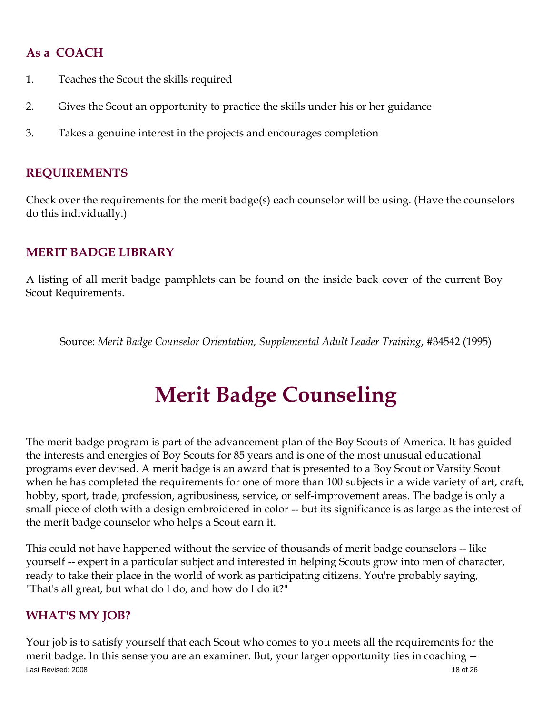## **As a COACH**

- 1. Teaches the Scout the skills required
- 2. Gives the Scout an opportunity to practice the skills under his or her guidance
- 3. Takes a genuine interest in the projects and encourages completion

## **REQUIREMENTS**

Check over the requirements for the merit badge(s) each counselor will be using. (Have the counselors do this individually.)

## **MERIT BADGE LIBRARY**

A listing of all merit badge pamphlets can be found on the inside back cover of the current Boy Scout Requirements.

Source: *Merit Badge Counselor Orientation, Supplemental Adult Leader Training*, #34542 (1995)

## **Merit Badge Counseling**

The merit badge program is part of the advancement plan of the Boy Scouts of America. It has guided the interests and energies of Boy Scouts for 85 years and is one of the most unusual educational programs ever devised. A merit badge is an award that is presented to a Boy Scout or Varsity Scout when he has completed the requirements for one of more than 100 subjects in a wide variety of art, craft, hobby, sport, trade, profession, agribusiness, service, or self-improvement areas. The badge is only a small piece of cloth with a design embroidered in color -- but its significance is as large as the interest of the merit badge counselor who helps a Scout earn it.

This could not have happened without the service of thousands of merit badge counselors -- like yourself -- expert in a particular subject and interested in helping Scouts grow into men of character, ready to take their place in the world of work as participating citizens. You're probably saying, "That's all great, but what do I do, and how do I do it?"

## **WHAT'S MY JOB?**

Last Revised: 2008 **18 of 26 of 26 of 26 of 26 of 26 of 26 of 26 of 26 of 26 of 26 of 26 of 26 of 26 of 26 of 26 of 26 of 26 of 26 of 26 of 26 of 26 of 26 of 26 of 26 of 26 of 26 of 26 of 26 of 26 of 26 of 26 of 26 of 26 o** Your job is to satisfy yourself that each Scout who comes to you meets all the requirements for the merit badge. In this sense you are an examiner. But, your larger opportunity ties in coaching --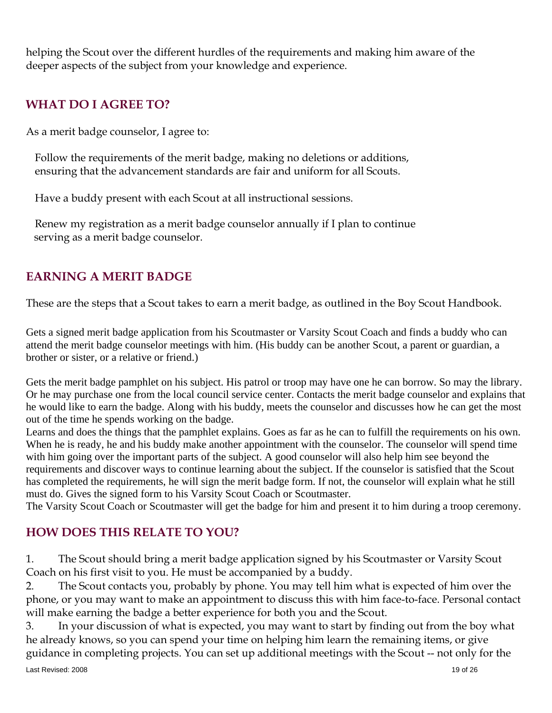helping the Scout over the different hurdles of the requirements and making him aware of the deeper aspects of the subject from your knowledge and experience.

## **WHAT DO I AGREE TO?**

As a merit badge counselor, I agree to:

Follow the requirements of the merit badge, making no deletions or additions, ensuring that the advancement standards are fair and uniform for all Scouts.

Have a buddy present with each Scout at all instructional sessions.

Renew my registration as a merit badge counselor annually if I plan to continue serving as a merit badge counselor.

## **EARNING A MERIT BADGE**

These are the steps that a Scout takes to earn a merit badge, as outlined in the Boy Scout Handbook.

Gets a signed merit badge application from his Scoutmaster or Varsity Scout Coach and finds a buddy who can attend the merit badge counselor meetings with him. (His buddy can be another Scout, a parent or guardian, a brother or sister, or a relative or friend.)

Gets the merit badge pamphlet on his subject. His patrol or troop may have one he can borrow. So may the library. Or he may purchase one from the local council service center. Contacts the merit badge counselor and explains that he would like to earn the badge. Along with his buddy, meets the counselor and discusses how he can get the most out of the time he spends working on the badge.

Learns and does the things that the pamphlet explains. Goes as far as he can to fulfill the requirements on his own. When he is ready, he and his buddy make another appointment with the counselor. The counselor will spend time with him going over the important parts of the subject. A good counselor will also help him see beyond the requirements and discover ways to continue learning about the subject. If the counselor is satisfied that the Scout has completed the requirements, he will sign the merit badge form. If not, the counselor will explain what he still must do. Gives the signed form to his Varsity Scout Coach or Scoutmaster.

The Varsity Scout Coach or Scoutmaster will get the badge for him and present it to him during a troop ceremony.

## **HOW DOES THIS RELATE TO YOU?**

1. The Scout should bring a merit badge application signed by his Scoutmaster or Varsity Scout Coach on his first visit to you. He must be accompanied by a buddy.

2. The Scout contacts you, probably by phone. You may tell him what is expected of him over the phone, or you may want to make an appointment to discuss this with him face-to-face. Personal contact will make earning the badge a better experience for both you and the Scout.

3. In your discussion of what is expected, you may want to start by finding out from the boy what he already knows, so you can spend your time on helping him learn the remaining items, or give guidance in completing projects. You can set up additional meetings with the Scout -- not only for the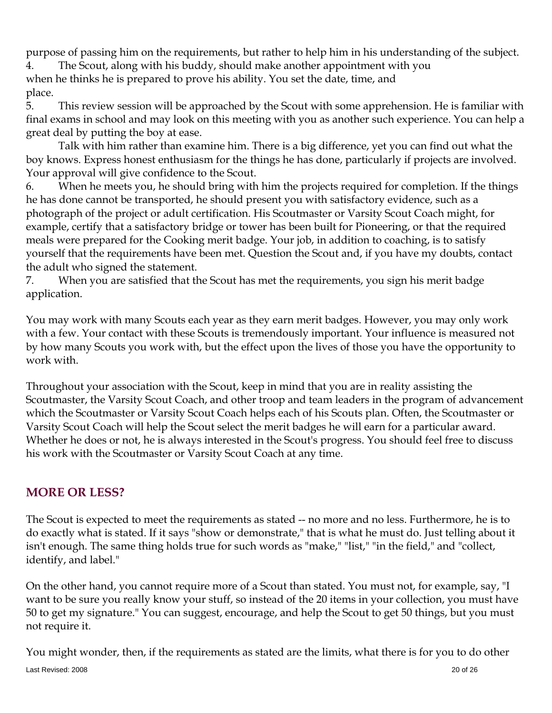purpose of passing him on the requirements, but rather to help him in his understanding of the subject.

4. The Scout, along with his buddy, should make another appointment with you when he thinks he is prepared to prove his ability. You set the date, time, and place.

5. This review session will be approached by the Scout with some apprehension. He is familiar with final exams in school and may look on this meeting with you as another such experience. You can help a great deal by putting the boy at ease.

Talk with him rather than examine him. There is a big difference, yet you can find out what the boy knows. Express honest enthusiasm for the things he has done, particularly if projects are involved. Your approval will give confidence to the Scout.

6. When he meets you, he should bring with him the projects required for completion. If the things he has done cannot be transported, he should present you with satisfactory evidence, such as a photograph of the project or adult certification. His Scoutmaster or Varsity Scout Coach might, for example, certify that a satisfactory bridge or tower has been built for Pioneering, or that the required meals were prepared for the Cooking merit badge. Your job, in addition to coaching, is to satisfy yourself that the requirements have been met. Question the Scout and, if you have my doubts, contact the adult who signed the statement.

7. When you are satisfied that the Scout has met the requirements, you sign his merit badge application.

You may work with many Scouts each year as they earn merit badges. However, you may only work with a few. Your contact with these Scouts is tremendously important. Your influence is measured not by how many Scouts you work with, but the effect upon the lives of those you have the opportunity to work with.

Throughout your association with the Scout, keep in mind that you are in reality assisting the Scoutmaster, the Varsity Scout Coach, and other troop and team leaders in the program of advancement which the Scoutmaster or Varsity Scout Coach helps each of his Scouts plan. Often, the Scoutmaster or Varsity Scout Coach will help the Scout select the merit badges he will earn for a particular award. Whether he does or not, he is always interested in the Scout's progress. You should feel free to discuss his work with the Scoutmaster or Varsity Scout Coach at any time.

## **MORE OR LESS?**

The Scout is expected to meet the requirements as stated -- no more and no less. Furthermore, he is to do exactly what is stated. If it says "show or demonstrate," that is what he must do. Just telling about it isn't enough. The same thing holds true for such words as "make," "list," "in the field," and "collect, identify, and label."

On the other hand, you cannot require more of a Scout than stated. You must not, for example, say, "I want to be sure you really know your stuff, so instead of the 20 items in your collection, you must have 50 to get my signature." You can suggest, encourage, and help the Scout to get 50 things, but you must not require it.

You might wonder, then, if the requirements as stated are the limits, what there is for you to do other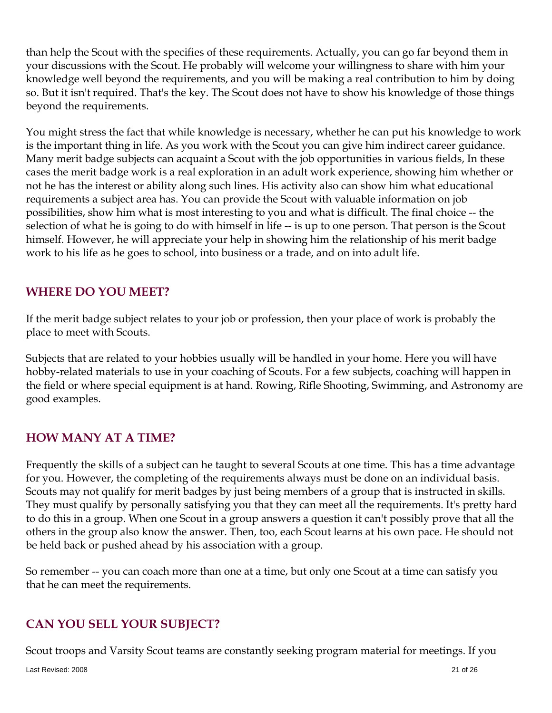than help the Scout with the specifies of these requirements. Actually, you can go far beyond them in your discussions with the Scout. He probably will welcome your willingness to share with him your knowledge well beyond the requirements, and you will be making a real contribution to him by doing so. But it isn't required. That's the key. The Scout does not have to show his knowledge of those things beyond the requirements.

You might stress the fact that while knowledge is necessary, whether he can put his knowledge to work is the important thing in life. As you work with the Scout you can give him indirect career guidance. Many merit badge subjects can acquaint a Scout with the job opportunities in various fields, In these cases the merit badge work is a real exploration in an adult work experience, showing him whether or not he has the interest or ability along such lines. His activity also can show him what educational requirements a subject area has. You can provide the Scout with valuable information on job possibilities, show him what is most interesting to you and what is difficult. The final choice -- the selection of what he is going to do with himself in life -- is up to one person. That person is the Scout himself. However, he will appreciate your help in showing him the relationship of his merit badge work to his life as he goes to school, into business or a trade, and on into adult life.

## **WHERE DO YOU MEET?**

If the merit badge subject relates to your job or profession, then your place of work is probably the place to meet with Scouts.

Subjects that are related to your hobbies usually will be handled in your home. Here you will have hobby-related materials to use in your coaching of Scouts. For a few subjects, coaching will happen in the field or where special equipment is at hand. Rowing, Rifle Shooting, Swimming, and Astronomy are good examples.

## **HOW MANY AT A TIME?**

Frequently the skills of a subject can he taught to several Scouts at one time. This has a time advantage for you. However, the completing of the requirements always must be done on an individual basis. Scouts may not qualify for merit badges by just being members of a group that is instructed in skills. They must qualify by personally satisfying you that they can meet all the requirements. It's pretty hard to do this in a group. When one Scout in a group answers a question it can't possibly prove that all the others in the group also know the answer. Then, too, each Scout learns at his own pace. He should not be held back or pushed ahead by his association with a group.

So remember -- you can coach more than one at a time, but only one Scout at a time can satisfy you that he can meet the requirements.

## **CAN YOU SELL YOUR SUBJECT?**

Scout troops and Varsity Scout teams are constantly seeking program material for meetings. If you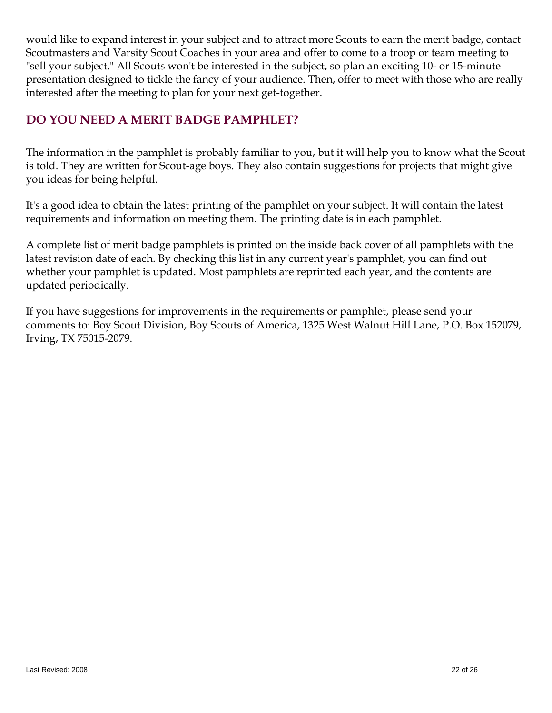would like to expand interest in your subject and to attract more Scouts to earn the merit badge, contact Scoutmasters and Varsity Scout Coaches in your area and offer to come to a troop or team meeting to "sell your subject." All Scouts won't be interested in the subject, so plan an exciting 10- or 15-minute presentation designed to tickle the fancy of your audience. Then, offer to meet with those who are really interested after the meeting to plan for your next get-together.

## **DO YOU NEED A MERIT BADGE PAMPHLET?**

The information in the pamphlet is probably familiar to you, but it will help you to know what the Scout is told. They are written for Scout-age boys. They also contain suggestions for projects that might give you ideas for being helpful.

It's a good idea to obtain the latest printing of the pamphlet on your subject. It will contain the latest requirements and information on meeting them. The printing date is in each pamphlet.

A complete list of merit badge pamphlets is printed on the inside back cover of all pamphlets with the latest revision date of each. By checking this list in any current year's pamphlet, you can find out whether your pamphlet is updated. Most pamphlets are reprinted each year, and the contents are updated periodically.

If you have suggestions for improvements in the requirements or pamphlet, please send your comments to: Boy Scout Division, Boy Scouts of America, 1325 West Walnut Hill Lane, P.O. Box 152079, Irving, TX 75015-2079.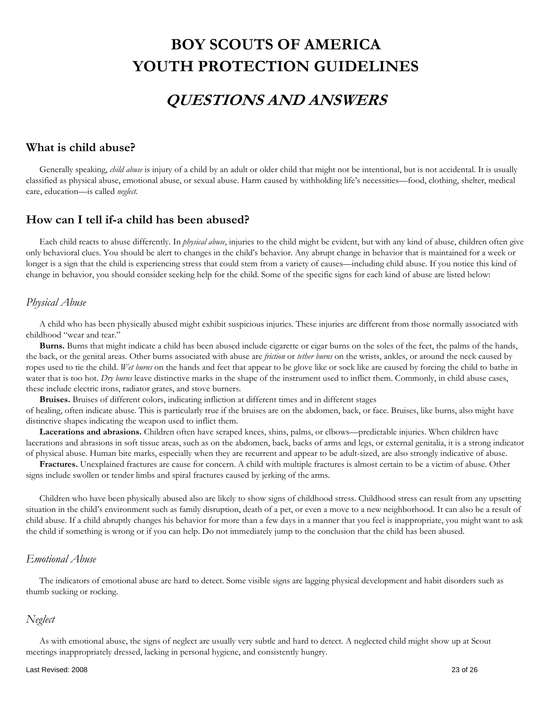## **BOY SCOUTS OF AMERICA YOUTH PROTECTION GUIDELINES**

## **QUESTIONS AND ANSWERS**

#### **What is child abuse?**

Generally speaking, *child abuse* is injury of a child by an adult or older child that might not be intentional, but is not accidental. It is usually classified as physical abuse, emotional abuse, or sexual abuse. Harm caused by withholding life's necessities—food, clothing, shelter, medical care, education—is called *neglect*.

#### **How can I tell if-a child has been abused?**

Each child reacts to abuse differently. In *physical abuse*, injuries to the child might be evident, but with any kind of abuse, children often give only behavioral clues. You should be alert to changes in the child's behavior. Any abrupt change in behavior that is maintained for a week or longer is a sign that the child is experiencing stress that could stem from a variety of causes—including child abuse. If you notice this kind of change in behavior, you should consider seeking help for the child. Some of the specific signs for each kind of abuse are listed below:

#### *Physical Abuse*

A child who has been physically abused might exhibit suspicious injuries. These injuries are different from those normally associated with childhood "wear and tear."

**Burns.** Burns that might indicate a child has been abused include cigarette or cigar burns on the soles of the feet, the palms of the hands, the back, or the genital areas. Other burns associated with abuse are *friction* or *tether burns* on the wrists, ankles, or around the neck caused by ropes used to tie the child. *Wet burns* on the hands and feet that appear to be glove like or sock like are caused by forcing the child to bathe in water that is too hot. *Dry burns* leave distinctive marks in the shape of the instrument used to inflict them. Commonly, in child abuse cases, these include electric irons, radiator grates, and stove burners.

**Bruises.** Bruises of different colors, indicating infliction at different times and in different stages

of healing, often indicate abuse. This is particularly true if the bruises are on the abdomen, back, or face. Bruises, like burns, also might have distinctive shapes indicating the weapon used to inflict them.

**Lacerations and abrasions.** Children often have scraped knees, shins, palms, or elbows—predictable injuries. When children have lacerations and abrasions in soft tissue areas, such as on the abdomen, back, backs of arms and legs, or external genitalia, it is a strong indicator of physical abuse. Human bite marks, especially when they are recurrent and appear to be adult-sized, are also strongly indicative of abuse.

**Fractures.** Unexplained fractures are cause for concern. A child with multiple fractures is almost certain to be a victim of abuse. Other signs include swollen or tender limbs and spiral fractures caused by jerking of the arms.

Children who have been physically abused also are likely to show signs of childhood stress. Childhood stress can result from any upsetting situation in the child's environment such as family disruption, death of a pet, or even a move to a new neighborhood. It can also be a result of child abuse. If a child abruptly changes his behavior for more than a few days in a manner that you feel is inappropriate, you might want to ask the child if something is wrong or if you can help. Do not immediately jump to the conclusion that the child has been abused.

#### *Emotional Abuse*

The indicators of emotional abuse are hard to detect. Some visible signs are lagging physical development and habit disorders such as thumb sucking or rocking.

#### *Neglect*

As with emotional abuse, the signs of neglect are usually very subtle and hard to detect. A neglected child might show up at Scout meetings inappropriately dressed, lacking in personal hygiene, and consistently hungry.

#### Last Revised: 2008 23 of 26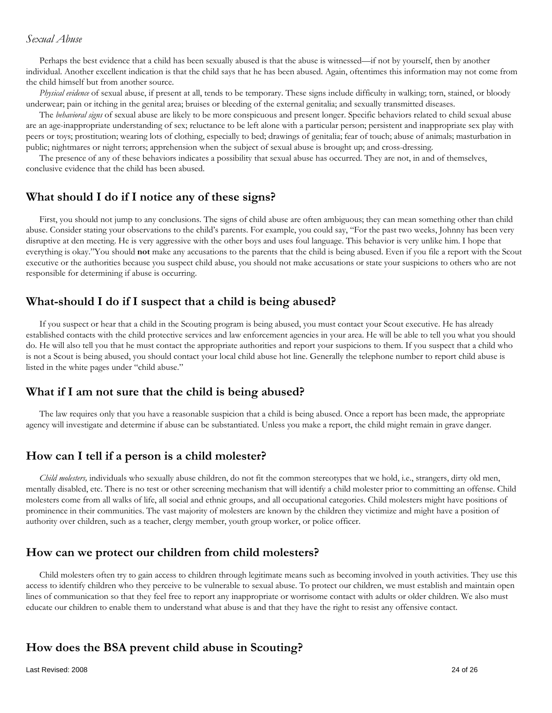#### *Sexual Abuse*

Perhaps the best evidence that a child has been sexually abused is that the abuse is witnessed—if not by yourself, then by another individual. Another excellent indication is that the child says that he has been abused. Again, oftentimes this information may not come from the child himself but from another source.

*Physical evidence* of sexual abuse, if present at all, tends to be temporary. These signs include difficulty in walking; torn, stained, or bloody underwear; pain or itching in the genital area; bruises or bleeding of the external genitalia; and sexually transmitted diseases.

The *behavioral signs* of sexual abuse are likely to be more conspicuous and present longer. Specific behaviors related to child sexual abuse are an age-inappropriate understanding of sex; reluctance to be left alone with a particular person; persistent and inappropriate sex play with peers or toys; prostitution; wearing lots of clothing, especially to bed; drawings of genitalia; fear of touch; abuse of animals; masturbation in public; nightmares or night terrors; apprehension when the subject of sexual abuse is brought up; and cross-dressing.

The presence of any of these behaviors indicates a possibility that sexual abuse has occurred. They are not, in and of themselves, conclusive evidence that the child has been abused.

#### **What should I do if I notice any of these signs?**

First, you should not jump to any conclusions. The signs of child abuse are often ambiguous; they can mean something other than child abuse. Consider stating your observations to the child's parents. For example, you could say, "For the past two weeks, Johnny has been very disruptive at den meeting. He is very aggressive with the other boys and uses foul language. This behavior is very unlike him. I hope that everything is okay."You should **not** make any accusations to the parents that the child is being abused. Even if you file a report with the Scout executive or the authorities because you suspect child abuse, you should not make accusations or state your suspicions to others who are not responsible for determining if abuse is occurring.

#### **What-should I do if I suspect that a child is being abused?**

If you suspect or hear that a child in the Scouting program is being abused, you must contact your Scout executive. He has already established contacts with the child protective services and law enforcement agencies in your area. He will be able to tell you what you should do. He will also tell you that he must contact the appropriate authorities and report your suspicions to them. If you suspect that a child who is not a Scout is being abused, you should contact your local child abuse hot line. Generally the telephone number to report child abuse is listed in the white pages under "child abuse."

#### **What if I am not sure that the child is being abused?**

The law requires only that you have a reasonable suspicion that a child is being abused. Once a report has been made, the appropriate agency will investigate and determine if abuse can be substantiated. Unless you make a report, the child might remain in grave danger.

#### **How can I tell if a person is a child molester?**

*Child molesters,* individuals who sexually abuse children, do not fit the common stereotypes that we hold, i.e., strangers, dirty old men, mentally disabled, etc. There is no test or other screening mechanism that will identify a child molester prior to committing an offense. Child molesters come from all walks of life, all social and ethnic groups, and all occupational categories. Child molesters might have positions of prominence in their communities. The vast majority of molesters are known by the children they victimize and might have a position of authority over children, such as a teacher, clergy member, youth group worker, or police officer.

#### **How can we protect our children from child molesters?**

Child molesters often try to gain access to children through legitimate means such as becoming involved in youth activities. They use this access to identify children who they perceive to be vulnerable to sexual abuse. To protect our children, we must establish and maintain open lines of communication so that they feel free to report any inappropriate or worrisome contact with adults or older children. We also must educate our children to enable them to understand what abuse is and that they have the right to resist any offensive contact.

#### **How does the BSA prevent child abuse in Scouting?**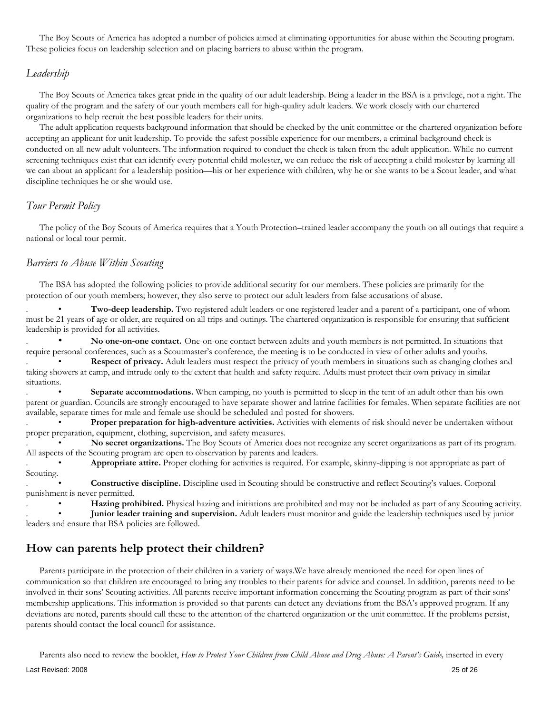The Boy Scouts of America has adopted a number of policies aimed at eliminating opportunities for abuse within the Scouting program. These policies focus on leadership selection and on placing barriers to abuse within the program.

#### *Leadership*

The Boy Scouts of America takes great pride in the quality of our adult leadership. Being a leader in the BSA is a privilege, not a right. The quality of the program and the safety of our youth members call for high-quality adult leaders. We work closely with our chartered organizations to help recruit the best possible leaders for their units.

The adult application requests background information that should be checked by the unit committee or the chartered organization before accepting an applicant for unit leadership. To provide the safest possible experience for our members, a criminal background check is conducted on all new adult volunteers. The information required to conduct the check is taken from the adult application. While no current screening techniques exist that can identify every potential child molester, we can reduce the risk of accepting a child molester by learning all we can about an applicant for a leadership position—his or her experience with children, why he or she wants to be a Scout leader, and what discipline techniques he or she would use.

#### *Tour Permit Policy*

The policy of the Boy Scouts of America requires that a Youth Protection–trained leader accompany the youth on all outings that require a national or local tour permit.

#### *Barriers to Abuse Within Scouting*

The BSA has adopted the following policies to provide additional security for our members. These policies are primarily for the protection of our youth members; however, they also serve to protect our adult leaders from false accusations of abuse.

. • **Two-deep leadership.** Two registered adult leaders or one registered leader and a parent of a participant, one of whom must be 21 years of age or older, are required on all trips and outings. The chartered organization is responsible for ensuring that sufficient leadership is provided for all activities.

. • **No one-on-one contact.** One-on-one contact between adults and youth members is not permitted. In situations that require personal conferences, such as a Scoutmaster's conference, the meeting is to be conducted in view of other adults and youths.

Respect of privacy. Adult leaders must respect the privacy of youth members in situations such as changing clothes and taking showers at camp, and intrude only to the extent that health and safety require. Adults must protect their own privacy in similar situations.

Separate accommodations. When camping, no youth is permitted to sleep in the tent of an adult other than his own parent or guardian. Councils are strongly encouraged to have separate shower and latrine facilities for females. When separate facilities are not available, separate times for male and female use should be scheduled and posted for showers.

**Proper preparation for high-adventure activities.** Activities with elements of risk should never be undertaken without proper preparation, equipment, clothing, supervision, and safety measures.

. • **No secret organizations.** The Boy Scouts of America does not recognize any secret organizations as part of its program. All aspects of the Scouting program are open to observation by parents and leaders.

. • **Appropriate attire.** Proper clothing for activities is required. For example, skinny-dipping is not appropriate as part of Scouting.

. • **Constructive discipline.** Discipline used in Scouting should be constructive and reflect Scouting's values. Corporal punishment is never permitted.

. • **Hazing prohibited.** Physical hazing and initiations are prohibited and may not be included as part of any Scouting activity.

. • **Junior leader training and supervision.** Adult leaders must monitor and guide the leadership techniques used by junior leaders and ensure that BSA policies are followed.

#### **How can parents help protect their children?**

Parents participate in the protection of their children in a variety of ways.We have already mentioned the need for open lines of communication so that children are encouraged to bring any troubles to their parents for advice and counsel. In addition, parents need to be involved in their sons' Scouting activities. All parents receive important information concerning the Scouting program as part of their sons' membership applications. This information is provided so that parents can detect any deviations from the BSA's approved program. If any deviations are noted, parents should call these to the attention of the chartered organization or the unit committee. If the problems persist, parents should contact the local council for assistance.

Parents also need to review the booklet, *How to Protect Your Children from Child Abuse and Drug Abuse: A Parent's Guide,* inserted in every